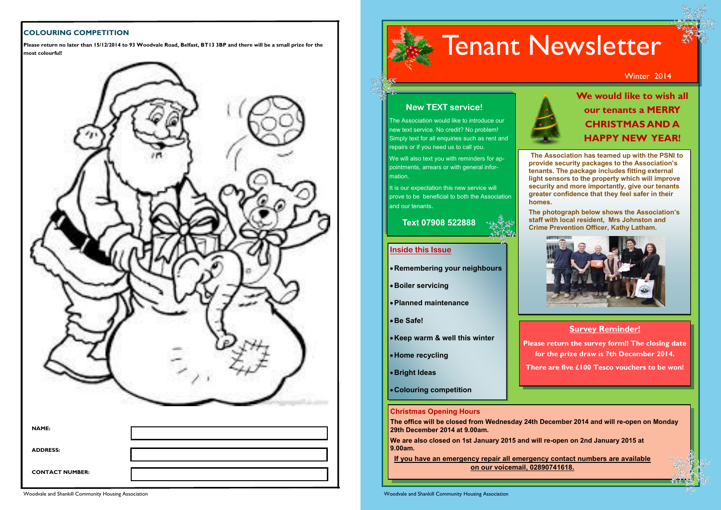#### **COLOURING COMPETITION**



**Please return no later than 15/12/2014 to 93 Woodvale Road, Belfast, BT13 3BP and there will be a small prize for the most colourful!**



**The Association has teamed up with the PSNI to provide security packages to the Association's tenants. The package includes fitting external light sensors to the property which will improve security and more importantly, give our tenants greater confidence that they feel safer in their** 

**homes.** 

**The photograph below shows the Association's staff with local resident, Mrs Johnston and Crime Prevention Officer, Kathy Latham.**



#### **Inside this Issue**

**Remembering your neighbours**

- **Boiler servicing**
- **Planned maintenance**
- **Be Safe!**

- **Keep warm & well this winter**
- **Home recycling**
- **Bright Ideas**
- **Colouring competition**

**Christmas Opening Hours** 

**The office will be closed from Wednesday 24th December 2014 and will re-open on Monday 29th December 2014 at 9.00am.**

**We are also closed on 1st January 2015 and will re-open on 2nd January 2015 at 9.00am.** 

**If you have an emergency repair all emergency contact numbers are available on our voicemail, 02890741618.** 

# **New TEXT service!** The Association would like to introduce our new text service. No credit? No problem! Simply text for all enquiries such as rent and repairs or if you need us to call you. Tenant Newsletter Winter 2014

mation.

We will also text you with reminders for appointments, arrears or with general infor-It is our expectation this new service will prove to be beneficial to both the Association

and our tenants.

 **Text 07908 522888**

### **Survey Reminder!**

**Please return the survey form!! The closing date for the prize draw is 7th December 2014.**

**There are five £100 Tesco vouchers to be won!**

**We would like to wish all our tenants a MERRY CHRISTMAS AND A HAPPY NEW YEAR!**